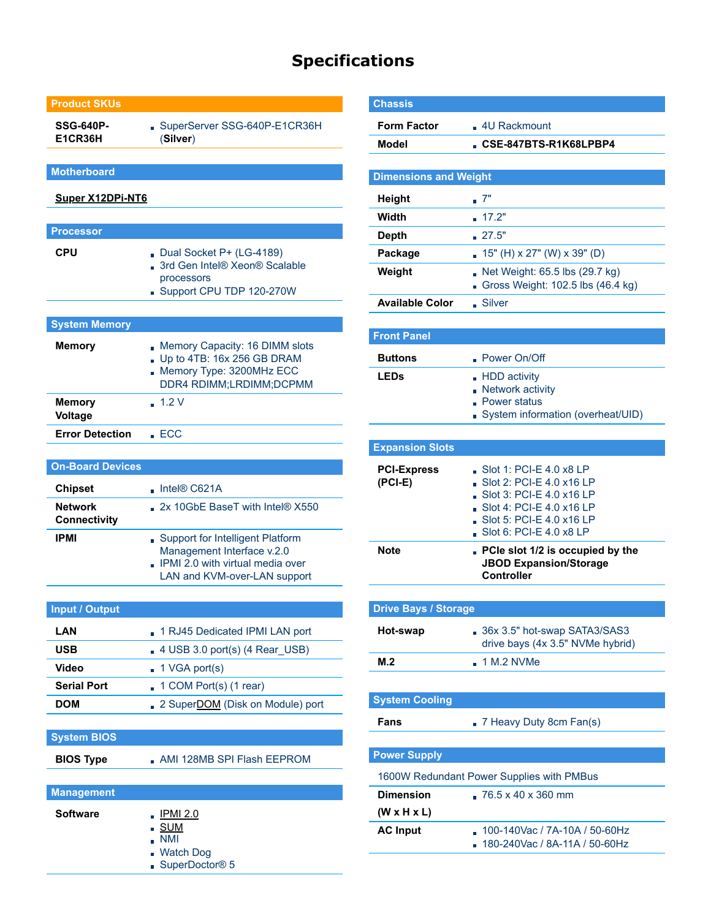# **Specifications**

#### **Product SKUs**

**SSG-640P-E1CR36H**

SuperServer SSG-640P-E1CR36H (**Silver**)

**Motherboard**

## **[Super X12DPi-NT6](https://www.supermicro.com/en/products/motherboard/X12DPi-NT6)**

| <b>Processor</b> |                                                                                                         |
|------------------|---------------------------------------------------------------------------------------------------------|
| <b>CPU</b>       | Dual Socket $P+$ (LG-4189)<br>■ 3rd Gen Intel® Xeon® Scalable<br>processors<br>Support CPU TDP 120-270W |
|                  |                                                                                                         |

#### **System Memory**

| <b>Memory</b>                   | Memory Capacity: 16 DIMM slots<br>Up to 4TB: 16x 256 GB DRAM<br>Memory Type: 3200MHz ECC<br>DDR4 RDIMM;LRDIMM;DCPMM |
|---------------------------------|---------------------------------------------------------------------------------------------------------------------|
| <b>Memory</b><br><b>Voltage</b> | $-1.2V$                                                                                                             |
| <b>Error Detection</b>          | - FCC                                                                                                               |

| <b>On-Board Devices</b>               |                                                                                                                                      |
|---------------------------------------|--------------------------------------------------------------------------------------------------------------------------------------|
| <b>Chipset</b>                        | $\blacksquare$ Intel® C621A                                                                                                          |
| <b>Network</b><br><b>Connectivity</b> | 2x 10GbE BaseT with Intel® X550                                                                                                      |
| <b>IPMI</b>                           | Support for Intelligent Platform<br>Management Interface v.2.0<br>. IPMI 2.0 with virtual media over<br>LAN and KVM-over-LAN support |

| <b>Input / Output</b> |                                             |
|-----------------------|---------------------------------------------|
| LAN                   | 1 RJ45 Dedicated IPMI LAN port              |
| USB                   | $\overline{4}$ USB 3.0 port(s) (4 Rear USB) |
| Video                 | $\blacksquare$ 1 VGA port(s)                |
| <b>Serial Port</b>    | $\Box$ 1 COM Port(s) (1 rear)               |
| DOM                   | 2 SuperDOM (Disk on Module) port            |

### **System BIOS**

| <b>BIOS Type</b> | . AMI 128MB SPI Flash EEPROM |
|------------------|------------------------------|
|------------------|------------------------------|

| <b>Management</b> |                                                                                                           |
|-------------------|-----------------------------------------------------------------------------------------------------------|
| <b>Software</b>   | $\blacksquare$ IPMI 2.0<br>$\blacksquare$ SUM<br>$\blacksquare$ NMI<br><b>Watch Dog</b><br>SuperDoctor® 5 |

| <b>Chassis</b>                  |                                                                                                                                                                                     |
|---------------------------------|-------------------------------------------------------------------------------------------------------------------------------------------------------------------------------------|
| <b>Form Factor</b>              | 4U Rackmount                                                                                                                                                                        |
| <b>Model</b>                    | CSE-847BTS-R1K68LPBP4                                                                                                                                                               |
|                                 |                                                                                                                                                                                     |
| <b>Dimensions and Weight</b>    |                                                                                                                                                                                     |
| Height                          | $\blacksquare$ 7"                                                                                                                                                                   |
| Width                           | 17.2"<br>÷.                                                                                                                                                                         |
| <b>Depth</b>                    | 27.5"                                                                                                                                                                               |
| Package                         | 15" (H) x 27" (W) x 39" (D)<br>m.                                                                                                                                                   |
| Weight                          | Net Weight: $65.5$ lbs $(29.7 \text{ kg})$<br>Gross Weight: 102.5 lbs (46.4 kg)                                                                                                     |
| <b>Available Color</b>          | Silver                                                                                                                                                                              |
|                                 |                                                                                                                                                                                     |
| <b>Front Panel</b>              |                                                                                                                                                                                     |
| <b>Buttons</b>                  | . Power On/Off                                                                                                                                                                      |
| LEDs                            | HDD activity<br><b>Network activity</b><br><b>Power status</b><br>System information (overheat/UID)                                                                                 |
|                                 |                                                                                                                                                                                     |
| <b>Expansion Slots</b>          |                                                                                                                                                                                     |
| <b>PCI-Express</b><br>$(PCI-E)$ | $\blacksquare$ Slot 1: PCI-E 4.0 x8 LP<br>Slot 2: PCI-E 4.0 x16 LP<br>Slot 3: PCI-E 4.0 x16 LP<br>Slot 4: PCI-E 4.0 x16 LP<br>$Slot 5: PCI-E 4.0 x16 LP$<br>Slot 6: PCI-E 4.0 x8 LP |
| <b>Note</b>                     | PCle slot 1/2 is occupied by the<br><b>JBOD Expansion/Storage</b><br><b>Controller</b>                                                                                              |
|                                 |                                                                                                                                                                                     |
| <b>Drive Bays / Storage</b>     |                                                                                                                                                                                     |
|                                 |                                                                                                                                                                                     |

| ____________________________ |                                                                  |
|------------------------------|------------------------------------------------------------------|
| Hot-swap                     | 36x 3.5" hot-swap SATA3/SAS3<br>drive bays (4x 3.5" NVMe hybrid) |
| M <sub>2</sub>               | $-1$ M.2 NVMe                                                    |
|                              |                                                                  |

#### **System Cooling**

# **Fans** 7 Heavy Duty 8cm Fan(s)

### **Power Supply**

1600W Redundant Power Supplies with PMBus

| <b>Dimension</b>        | $.76.5 \times 40 \times 360$ mm                                                  |
|-------------------------|----------------------------------------------------------------------------------|
| $(W \times H \times L)$ |                                                                                  |
| <b>AC Input</b>         | $100-140$ Vac / 7A-10A / 50-60Hz<br>$\blacksquare$ 180-240Vac / 8A-11A / 50-60Hz |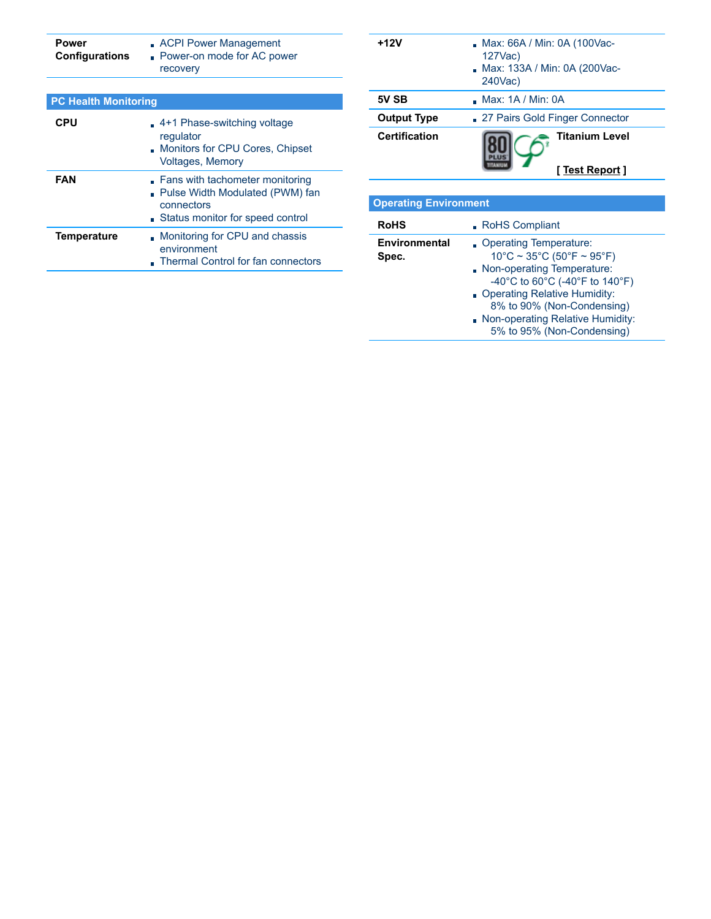| <b>Power</b><br><b>Configurations</b> | <b>ACPI Power Management</b><br>■ Power-on mode for AC power<br>recovery                                             |
|---------------------------------------|----------------------------------------------------------------------------------------------------------------------|
|                                       |                                                                                                                      |
| <b>PC Health Monitoring</b>           |                                                                                                                      |
| <b>CPU</b>                            | 4+1 Phase-switching voltage<br>regulator<br>Monitors for CPU Cores, Chipset<br><b>Voltages, Memory</b>               |
| <b>FAN</b>                            | Fans with tachometer monitoring<br>Pulse Width Modulated (PWM) fan<br>connectors<br>Status monitor for speed control |
| <b>Temperature</b>                    | Monitoring for CPU and chassis<br>environment<br>Thermal Control for fan connectors                                  |

|                      | Max: 66A / Min: 0A (100Vac-<br>$127$ Vac)<br>Max: 133A / Min: 0A (200Vac-<br>240Vac) |
|----------------------|--------------------------------------------------------------------------------------|
| 5V SB                | $\blacksquare$ Max: 1A / Min: 0A                                                     |
| <b>Output Type</b>   | 27 Pairs Gold Finger Connector                                                       |
| <b>Certification</b> | <b>Titanium Level</b>                                                                |

| <b>RoHS</b>            | RoHS Compliant                                                                                                                                                                                                                                                |
|------------------------|---------------------------------------------------------------------------------------------------------------------------------------------------------------------------------------------------------------------------------------------------------------|
| Environmental<br>Spec. | Operating Temperature:<br>$10^{\circ}$ C ~ 35°C (50°F ~ 95°F)<br>Non-operating Temperature:<br>-40°C to 60°C (-40°F to 140°F)<br>Operating Relative Humidity:<br>8% to 90% (Non-Condensing)<br>Non-operating Relative Humidity:<br>5% to 95% (Non-Condensing) |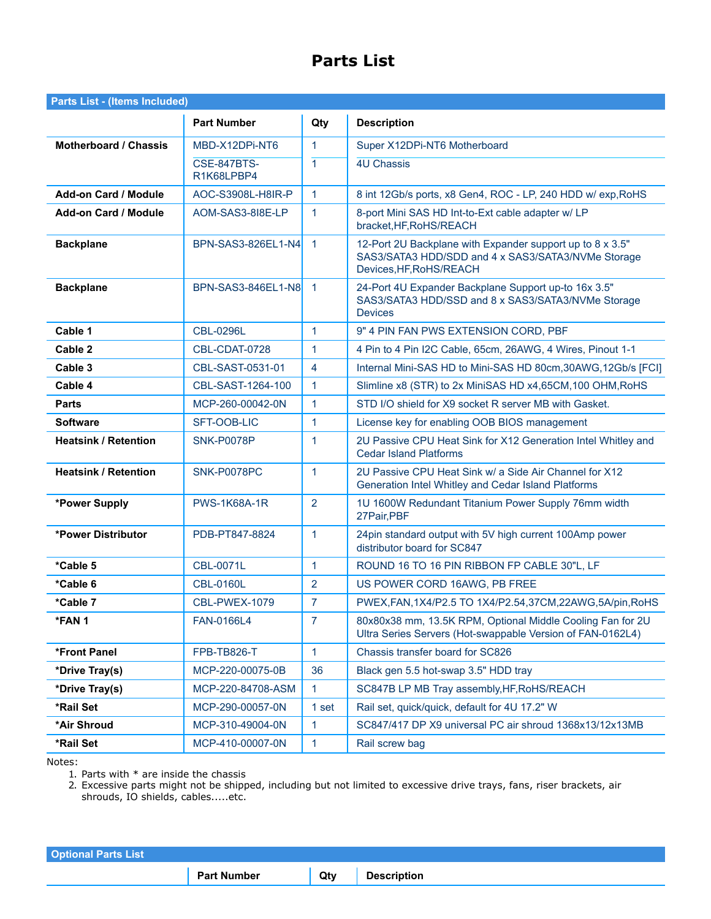# **Parts List**

| <b>Parts List - (Items Included)</b> |                           |                |                                                                                                                                            |  |  |  |
|--------------------------------------|---------------------------|----------------|--------------------------------------------------------------------------------------------------------------------------------------------|--|--|--|
|                                      | <b>Part Number</b>        | Qty            | <b>Description</b>                                                                                                                         |  |  |  |
| <b>Motherboard / Chassis</b>         | MBD-X12DPi-NT6            | 1              | Super X12DPi-NT6 Motherboard                                                                                                               |  |  |  |
|                                      | CSE-847BTS-<br>R1K68LPBP4 | $\mathbf{1}$   | <b>4U Chassis</b>                                                                                                                          |  |  |  |
| <b>Add-on Card / Module</b>          | AOC-S3908L-H8IR-P         | $\mathbf{1}$   | 8 int 12Gb/s ports, x8 Gen4, ROC - LP, 240 HDD w/ exp, RoHS                                                                                |  |  |  |
| <b>Add-on Card / Module</b>          | AOM-SAS3-818E-LP          | $\mathbf{1}$   | 8-port Mini SAS HD Int-to-Ext cable adapter w/ LP<br>bracket, HF, RoHS/REACH                                                               |  |  |  |
| <b>Backplane</b>                     | BPN-SAS3-826EL1-N4        | $\mathbf{1}$   | 12-Port 2U Backplane with Expander support up to 8 x 3.5"<br>SAS3/SATA3 HDD/SDD and 4 x SAS3/SATA3/NVMe Storage<br>Devices, HF, RoHS/REACH |  |  |  |
| <b>Backplane</b>                     | BPN-SAS3-846EL1-N8 1      |                | 24-Port 4U Expander Backplane Support up-to 16x 3.5"<br>SAS3/SATA3 HDD/SSD and 8 x SAS3/SATA3/NVMe Storage<br><b>Devices</b>               |  |  |  |
| Cable 1                              | <b>CBL-0296L</b>          | $\mathbf{1}$   | 9" 4 PIN FAN PWS EXTENSION CORD, PBF                                                                                                       |  |  |  |
| Cable 2                              | CBL-CDAT-0728             | $\mathbf{1}$   | 4 Pin to 4 Pin I2C Cable, 65cm, 26AWG, 4 Wires, Pinout 1-1                                                                                 |  |  |  |
| Cable 3                              | CBL-SAST-0531-01          | $\overline{4}$ | Internal Mini-SAS HD to Mini-SAS HD 80cm, 30AWG, 12Gb/s [FCI]                                                                              |  |  |  |
| Cable 4                              | CBL-SAST-1264-100         | $\mathbf{1}$   | Slimline x8 (STR) to 2x MiniSAS HD x4,65CM,100 OHM, RoHS                                                                                   |  |  |  |
| <b>Parts</b>                         | MCP-260-00042-0N          | $\mathbf{1}$   | STD I/O shield for X9 socket R server MB with Gasket.                                                                                      |  |  |  |
| <b>Software</b>                      | SFT-OOB-LIC               | $\mathbf{1}$   | License key for enabling OOB BIOS management                                                                                               |  |  |  |
| <b>Heatsink / Retention</b>          | <b>SNK-P0078P</b>         | $\mathbf{1}$   | 2U Passive CPU Heat Sink for X12 Generation Intel Whitley and<br><b>Cedar Island Platforms</b>                                             |  |  |  |
| <b>Heatsink / Retention</b>          | SNK-P0078PC               | $\mathbf{1}$   | 2U Passive CPU Heat Sink w/ a Side Air Channel for X12<br>Generation Intel Whitley and Cedar Island Platforms                              |  |  |  |
| *Power Supply                        | <b>PWS-1K68A-1R</b>       | $\overline{2}$ | 1U 1600W Redundant Titanium Power Supply 76mm width<br>27Pair,PBF                                                                          |  |  |  |
| *Power Distributor                   | PDB-PT847-8824            | $\mathbf{1}$   | 24pin standard output with 5V high current 100Amp power<br>distributor board for SC847                                                     |  |  |  |
| *Cable 5                             | <b>CBL-0071L</b>          | $\mathbf{1}$   | ROUND 16 TO 16 PIN RIBBON FP CABLE 30"L, LF                                                                                                |  |  |  |
| *Cable 6                             | <b>CBL-0160L</b>          | $\overline{2}$ | US POWER CORD 16AWG, PB FREE                                                                                                               |  |  |  |
| *Cable 7                             | CBL-PWEX-1079             | $\overline{7}$ | PWEX, FAN, 1X4/P2.5 TO 1X4/P2.54, 37CM, 22AWG, 5A/pin, RoHS                                                                                |  |  |  |
| *FAN 1                               | FAN-0166L4                | $\overline{7}$ | 80x80x38 mm, 13.5K RPM, Optional Middle Cooling Fan for 2U<br>Ultra Series Servers (Hot-swappable Version of FAN-0162L4)                   |  |  |  |
| *Front Panel                         | FPB-TB826-T               | $\mathbf{1}$   | Chassis transfer board for SC826                                                                                                           |  |  |  |
| *Drive Tray(s)                       | MCP-220-00075-0B          | 36             | Black gen 5.5 hot-swap 3.5" HDD tray                                                                                                       |  |  |  |
| *Drive Tray(s)                       | MCP-220-84708-ASM         | $\mathbf{1}$   | SC847B LP MB Tray assembly, HF, RoHS/REACH                                                                                                 |  |  |  |
| *Rail Set                            | MCP-290-00057-0N          | 1 set          | Rail set, quick/quick, default for 4U 17.2" W                                                                                              |  |  |  |
| *Air Shroud                          | MCP-310-49004-0N          | 1              | SC847/417 DP X9 universal PC air shroud 1368x13/12x13MB                                                                                    |  |  |  |
| *Rail Set                            | MCP-410-00007-0N          | $\mathbf{1}$   | Rail screw bag                                                                                                                             |  |  |  |

Notes:

1. Parts with \* are inside the chassis

2. Excessive parts might not be shipped, including but not limited to excessive drive trays, fans, riser brackets, air shrouds, IO shields, cables.....etc.

| <b>Optional Parts List</b> |                    |     |                    |
|----------------------------|--------------------|-----|--------------------|
|                            | <b>Part Number</b> | Qty | <b>Description</b> |
|                            |                    |     |                    |